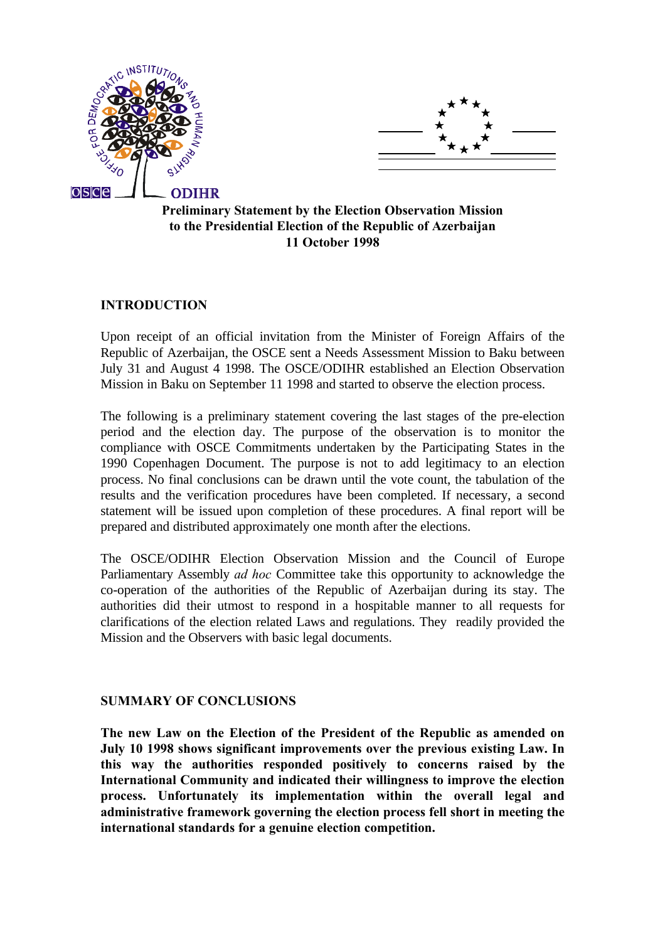



# **Preliminary Statement by the Election Observation Mission to the Presidential Election of the Republic of Azerbaijan 11 October 1998**

### **INTRODUCTION**

Upon receipt of an official invitation from the Minister of Foreign Affairs of the Republic of Azerbaijan, the OSCE sent a Needs Assessment Mission to Baku between July 31 and August 4 1998. The OSCE/ODIHR established an Election Observation Mission in Baku on September 11 1998 and started to observe the election process.

The following is a preliminary statement covering the last stages of the pre-election period and the election day. The purpose of the observation is to monitor the compliance with OSCE Commitments undertaken by the Participating States in the 1990 Copenhagen Document. The purpose is not to add legitimacy to an election process. No final conclusions can be drawn until the vote count, the tabulation of the results and the verification procedures have been completed. If necessary, a second statement will be issued upon completion of these procedures. A final report will be prepared and distributed approximately one month after the elections.

The OSCE/ODIHR Election Observation Mission and the Council of Europe Parliamentary Assembly *ad hoc* Committee take this opportunity to acknowledge the co-operation of the authorities of the Republic of Azerbaijan during its stay. The authorities did their utmost to respond in a hospitable manner to all requests for clarifications of the election related Laws and regulations. They readily provided the Mission and the Observers with basic legal documents.

#### **SUMMARY OF CONCLUSIONS**

**The new Law on the Election of the President of the Republic as amended on July 10 1998 shows significant improvements over the previous existing Law. In this way the authorities responded positively to concerns raised by the International Community and indicated their willingness to improve the election process. Unfortunately its implementation within the overall legal and administrative framework governing the election process fell short in meeting the international standards for a genuine election competition.**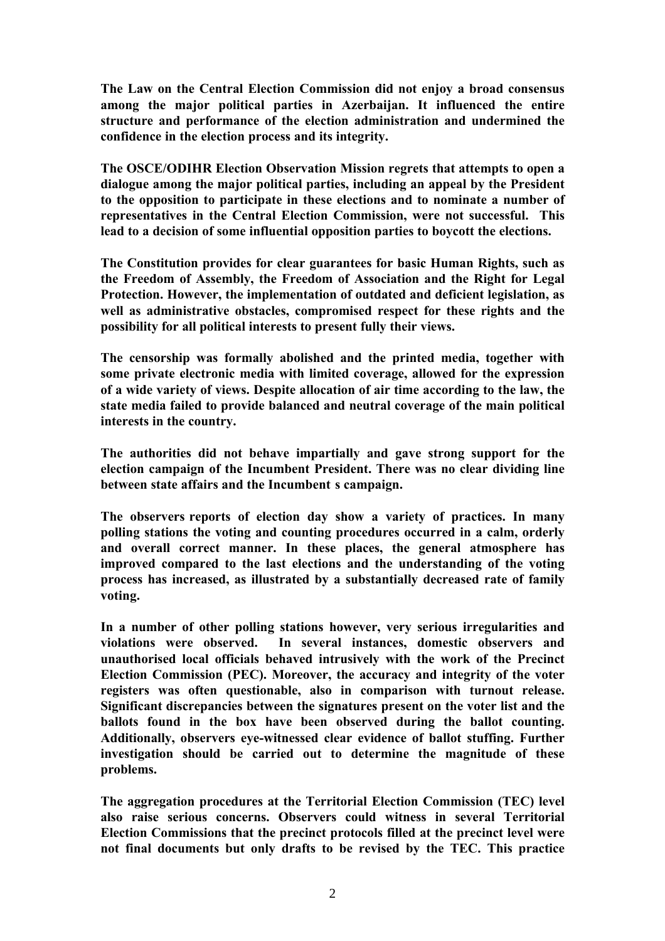**The Law on the Central Election Commission did not enjoy a broad consensus among the major political parties in Azerbaijan. It influenced the entire structure and performance of the election administration and undermined the confidence in the election process and its integrity.**

**The OSCE/ODIHR Election Observation Mission regrets that attempts to open a dialogue among the major political parties, including an appeal by the President to the opposition to participate in these elections and to nominate a number of representatives in the Central Election Commission, were not successful. This lead to a decision of some influential opposition parties to boycott the elections.**

**The Constitution provides for clear guarantees for basic Human Rights, such as the Freedom of Assembly, the Freedom of Association and the Right for Legal Protection. However, the implementation of outdated and deficient legislation, as well as administrative obstacles, compromised respect for these rights and the possibility for all political interests to present fully their views.**

**The censorship was formally abolished and the printed media, together with some private electronic media with limited coverage, allowed for the expression of a wide variety of views. Despite allocation of air time according to the law, the state media failed to provide balanced and neutral coverage of the main political interests in the country.**

**The authorities did not behave impartially and gave strong support for the election campaign of the Incumbent President. There was no clear dividing line** between state affairs and the Incumbent s campaign.

The observers reports of election day show a variety of practices. In many **polling stations the voting and counting procedures occurred in a calm, orderly and overall correct manner. In these places, the general atmosphere has improved compared to the last elections and the understanding of the voting process has increased, as illustrated by a substantially decreased rate of family voting.**

**In a number of other polling stations however, very serious irregularities and violations were observed. In several instances, domestic observers and unauthorised local officials behaved intrusively with the work of the Precinct Election Commission (PEC). Moreover, the accuracy and integrity of the voter registers was often questionable, also in comparison with turnout release. Significant discrepancies between the signatures present on the voter list and the ballots found in the box have been observed during the ballot counting. Additionally, observers eye-witnessed clear evidence of ballot stuffing. Further investigation should be carried out to determine the magnitude of these problems.**

**The aggregation procedures at the Territorial Election Commission (TEC) level also raise serious concerns. Observers could witness in several Territorial Election Commissions that the precinct protocols filled at the precinct level were not final documents but only drafts to be revised by the TEC. This practice**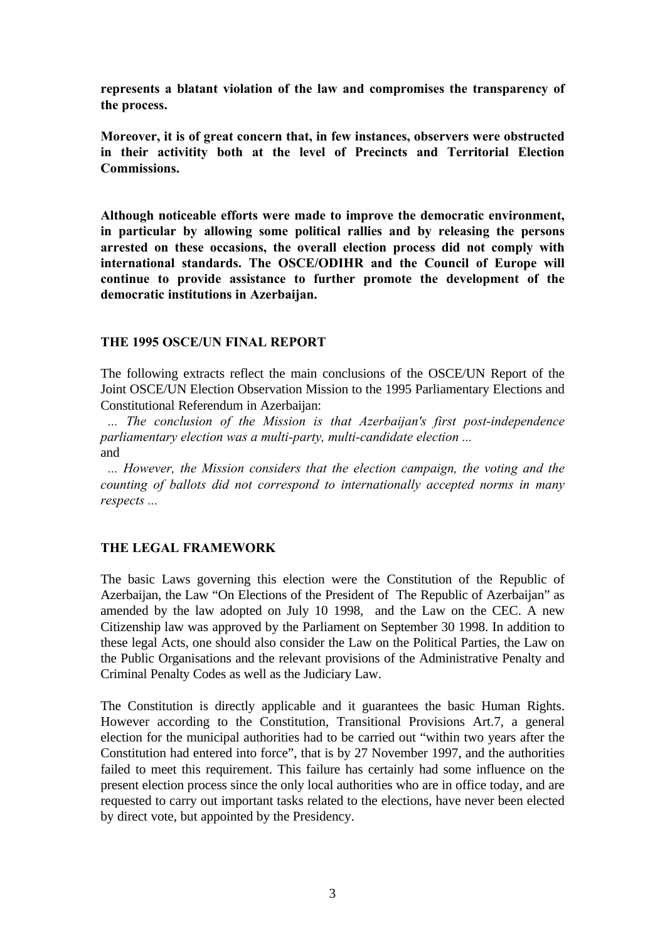**represents a blatant violation of the law and compromises the transparency of the process.**

**Moreover, it is of great concern that, in few instances, observers were obstructed in their activitity both at the level of Precincts and Territorial Election Commissions.**

**Although noticeable efforts were made to improve the democratic environment, in particular by allowing some political rallies and by releasing the persons arrested on these occasions, the overall election process did not comply with international standards. The OSCE/ODIHR and the Council of Europe will continue to provide assistance to further promote the development of the democratic institutions in Azerbaijan.**

#### **THE 1995 OSCE/UN FINAL REPORT**

The following extracts reflect the main conclusions of the OSCE/UN Report of the Joint OSCE/UN Election Observation Mission to the 1995 Parliamentary Elections and Constitutional Referendum in Azerbaijan:

*"... The conclusion of the Mission is that Azerbaijan's first post-independence parliamentary election was a multi-party, multi-candidate election ..."* and

*"... However, the Mission considers that the election campaign, the voting and the counting of ballots did not correspond to internationally accepted norms in many*  $respects ...$ 

# **THE LEGAL FRAMEWORK**

The basic Laws governing this election were the Constitution of the Republic of Azerbaijan, the Law "On Elections of the President of The Republic of Azerbaijan" as amended by the law adopted on July 10 1998, and the Law on the CEC. A new Citizenship law was approved by the Parliament on September 30 1998. In addition to these legal Acts, one should also consider the Law on the Political Parties, the Law on the Public Organisations and the relevant provisions of the Administrative Penalty and Criminal Penalty Codes as well as the Judiciary Law.

The Constitution is directly applicable and it guarantees the basic Human Rights. However according to the Constitution, Transitional Provisions Art.7, a general election for the municipal authorities had to be carried out "within two years after the Constitution had entered into force", that is by 27 November 1997, and the authorities failed to meet this requirement. This failure has certainly had some influence on the present election process since the only local authorities who are in office today, and are requested to carry out important tasks related to the elections, have never been elected by direct vote, but appointed by the Presidency.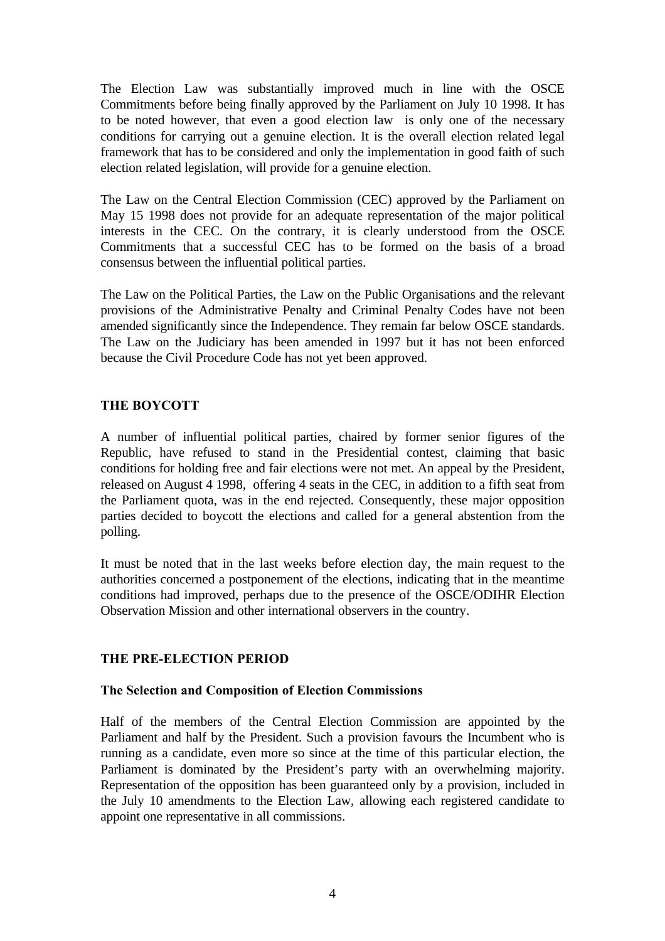The Election Law was substantially improved much in line with the OSCE Commitments before being finally approved by the Parliament on July 10 1998. It has to be noted however, that even a good election law is only one of the necessary conditions for carrying out a genuine election. It is the overall election related legal framework that has to be considered and only the implementation in good faith of such election related legislation, will provide for a genuine election.

The Law on the Central Election Commission (CEC) approved by the Parliament on May 15 1998 does not provide for an adequate representation of the major political interests in the CEC. On the contrary, it is clearly understood from the OSCE Commitments that a successful CEC has to be formed on the basis of a broad consensus between the influential political parties.

The Law on the Political Parties, the Law on the Public Organisations and the relevant provisions of the Administrative Penalty and Criminal Penalty Codes have not been amended significantly since the Independence. They remain far below OSCE standards. The Law on the Judiciary has been amended in 1997 but it has not been enforced because the Civil Procedure Code has not yet been approved.

# **THE BOYCOTT**

A number of influential political parties, chaired by former senior figures of the Republic, have refused to stand in the Presidential contest, claiming that basic conditions for holding free and fair elections were not met. An appeal by the President, released on August 4 1998, offering 4 seats in the CEC, in addition to a fifth seat from the Parliament quota, was in the end rejected. Consequently, these major opposition parties decided to boycott the elections and called for a general abstention from the polling.

It must be noted that in the last weeks before election day, the main request to the authorities concerned a postponement of the elections, indicating that in the meantime conditions had improved, perhaps due to the presence of the OSCE/ODIHR Election Observation Mission and other international observers in the country.

# **THE PRE-ELECTION PERIOD**

# **The Selection and Composition of Election Commissions**

Half of the members of the Central Election Commission are appointed by the Parliament and half by the President. Such a provision favours the Incumbent who is running as a candidate, even more so since at the time of this particular election, the Parliament is dominated by the President's party with an overwhelming majority. Representation of the opposition has been guaranteed only by a provision, included in the July 10 amendments to the Election Law, allowing each registered candidate to appoint one representative in all commissions.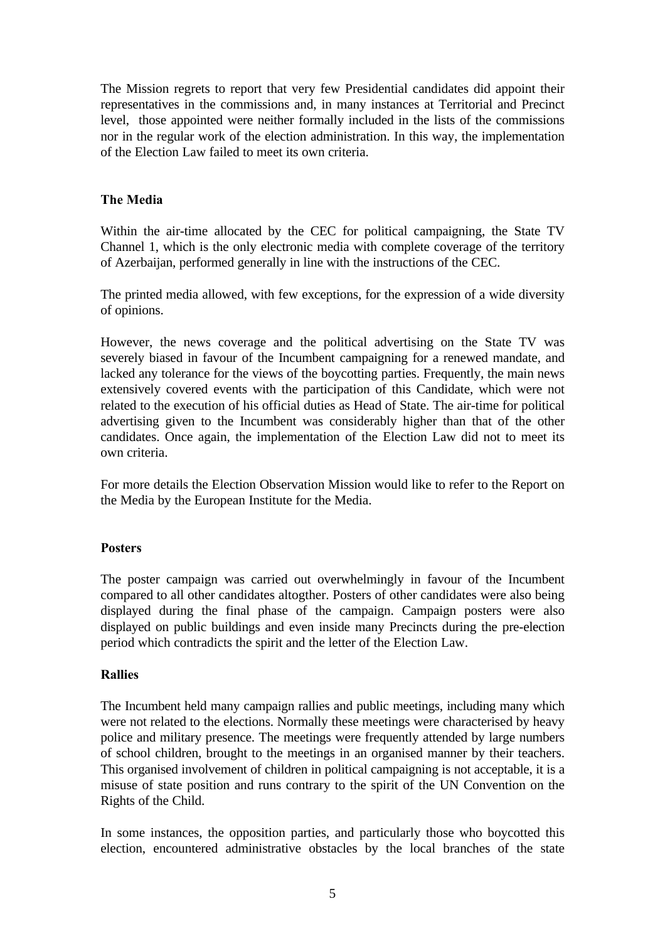The Mission regrets to report that very few Presidential candidates did appoint their representatives in the commissions and, in many instances at Territorial and Precinct level, those appointed were neither formally included in the lists of the commissions nor in the regular work of the election administration. In this way, the implementation of the Election Law failed to meet its own criteria.

# **The Media**

Within the air-time allocated by the CEC for political campaigning, the State TV Channel 1, which is the only electronic media with complete coverage of the territory of Azerbaijan, performed generally in line with the instructions of the CEC.

The printed media allowed, with few exceptions, for the expression of a wide diversity of opinions.

However, the news coverage and the political advertising on the State TV was severely biased in favour of the Incumbent campaigning for a renewed mandate, and lacked any tolerance for the views of the boycotting parties. Frequently, the main news extensively covered events with the participation of this Candidate, which were not related to the execution of his official duties as Head of State. The air-time for political advertising given to the Incumbent was considerably higher than that of the other candidates. Once again, the implementation of the Election Law did not to meet its own criteria.

For more details the Election Observation Mission would like to refer to the Report on the Media by the European Institute for the Media.

# **Posters**

The poster campaign was carried out overwhelmingly in favour of the Incumbent compared to all other candidates altogther. Posters of other candidates were also being displayed during the final phase of the campaign. Campaign posters were also displayed on public buildings and even inside many Precincts during the pre-election period which contradicts the spirit and the letter of the Election Law.

#### **Rallies**

The Incumbent held many campaign rallies and public meetings, including many which were not related to the elections. Normally these meetings were characterised by heavy police and military presence. The meetings were frequently attended by large numbers of school children, brought to the meetings in an organised manner by their teachers. This organised involvement of children in political campaigning is not acceptable, it is a misuse of state position and runs contrary to the spirit of the UN Convention on the Rights of the Child.

In some instances, the opposition parties, and particularly those who boycotted this election, encountered administrative obstacles by the local branches of the state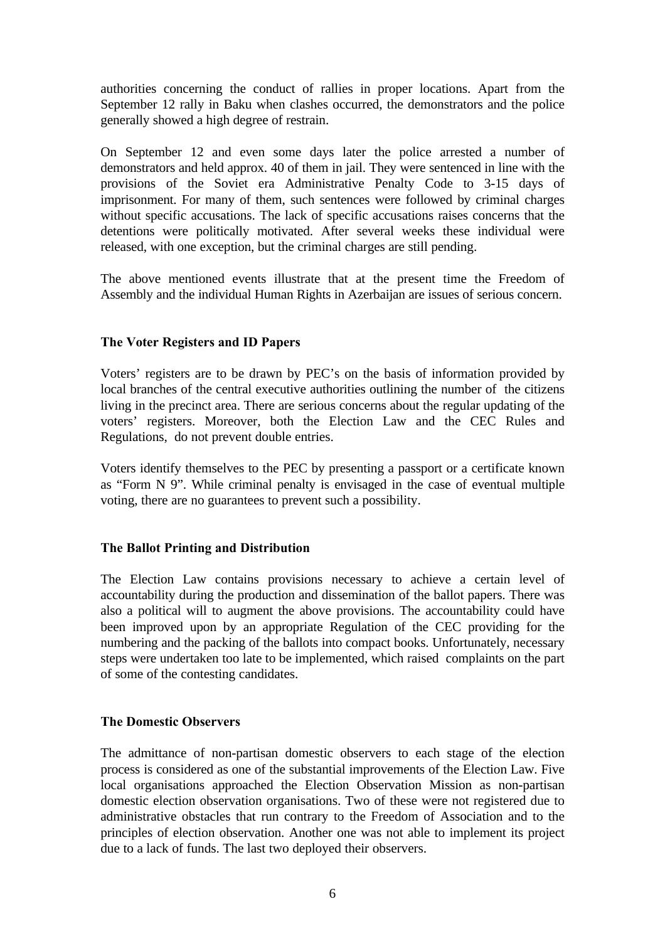authorities concerning the conduct of rallies in proper locations. Apart from the September 12 rally in Baku when clashes occurred, the demonstrators and the police generally showed a high degree of restrain.

On September 12 and even some days later the police arrested a number of demonstrators and held approx. 40 of them in jail. They were sentenced in line with the provisions of the Soviet era Administrative Penalty Code to 3-15 days of imprisonment. For many of them, such sentences were followed by criminal charges without specific accusations. The lack of specific accusations raises concerns that the detentions were politically motivated. After several weeks these individual were released, with one exception, but the criminal charges are still pending.

The above mentioned events illustrate that at the present time the Freedom of Assembly and the individual Human Rights in Azerbaijan are issues of serious concern.

#### **The Voter Registers and ID Papers**

Voters' registers are to be drawn by PEC's on the basis of information provided by local branches of the central executive authorities outlining the number of the citizens living in the precinct area. There are serious concerns about the regular updating of the voters' registers. Moreover, both the Election Law and the CEC Rules and Regulations, do not prevent double entries.

Voters identify themselves to the PEC by presenting a passport or a certificate known as "Form N 9". While criminal penalty is envisaged in the case of eventual multiple voting, there are no guarantees to prevent such a possibility.

# **The Ballot Printing and Distribution**

The Election Law contains provisions necessary to achieve a certain level of accountability during the production and dissemination of the ballot papers. There was also a political will to augment the above provisions. The accountability could have been improved upon by an appropriate Regulation of the CEC providing for the numbering and the packing of the ballots into compact books. Unfortunately, necessary steps were undertaken too late to be implemented, which raised complaints on the part of some of the contesting candidates.

#### **The Domestic Observers**

The admittance of non-partisan domestic observers to each stage of the election process is considered as one of the substantial improvements of the Election Law. Five local organisations approached the Election Observation Mission as non-partisan domestic election observation organisations. Two of these were not registered due to administrative obstacles that run contrary to the Freedom of Association and to the principles of election observation. Another one was not able to implement its project due to a lack of funds. The last two deployed their observers.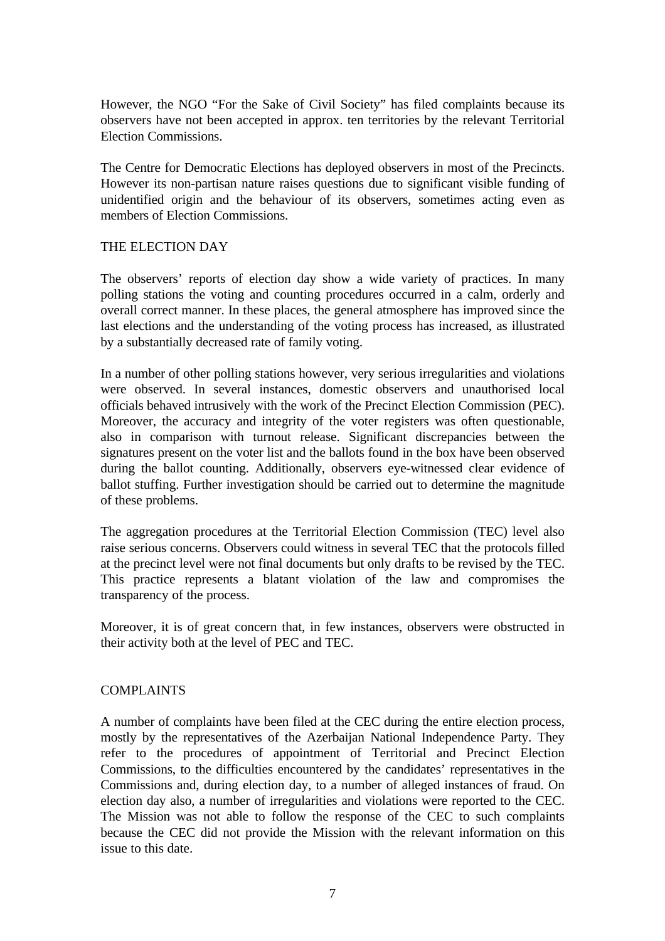However, the NGO "For the Sake of Civil Society" has filed complaints because its observers have not been accepted in approx. ten territories by the relevant Territorial Election Commissions.

The Centre for Democratic Elections has deployed observers in most of the Precincts. However its non-partisan nature raises questions due to significant visible funding of unidentified origin and the behaviour of its observers, sometimes acting even as members of Election Commissions.

### THE ELECTION DAY

The observers' reports of election day show a wide variety of practices. In many polling stations the voting and counting procedures occurred in a calm, orderly and overall correct manner. In these places, the general atmosphere has improved since the last elections and the understanding of the voting process has increased, as illustrated by a substantially decreased rate of family voting.

In a number of other polling stations however, very serious irregularities and violations were observed. In several instances, domestic observers and unauthorised local officials behaved intrusively with the work of the Precinct Election Commission (PEC). Moreover, the accuracy and integrity of the voter registers was often questionable, also in comparison with turnout release. Significant discrepancies between the signatures present on the voter list and the ballots found in the box have been observed during the ballot counting. Additionally, observers eye-witnessed clear evidence of ballot stuffing. Further investigation should be carried out to determine the magnitude of these problems.

The aggregation procedures at the Territorial Election Commission (TEC) level also raise serious concerns. Observers could witness in several TEC that the protocols filled at the precinct level were not final documents but only drafts to be revised by the TEC. This practice represents a blatant violation of the law and compromises the transparency of the process.

Moreover, it is of great concern that, in few instances, observers were obstructed in their activity both at the level of PEC and TEC.

#### COMPLAINTS

A number of complaints have been filed at the CEC during the entire election process, mostly by the representatives of the Azerbaijan National Independence Party. They refer to the procedures of appointment of Territorial and Precinct Election Commissions, to the difficulties encountered by the candidates' representatives in the Commissions and, during election day, to a number of alleged instances of fraud. On election day also, a number of irregularities and violations were reported to the CEC. The Mission was not able to follow the response of the CEC to such complaints because the CEC did not provide the Mission with the relevant information on this issue to this date.